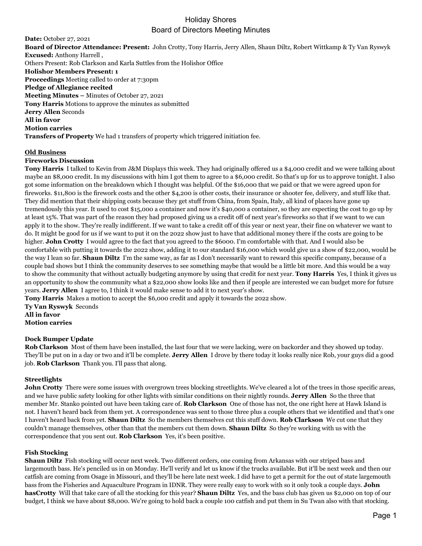# Holiday Shores Board of Directors Meeting Minutes

**Date:** October 27, 2021 **Board of Director Attendance: Present:** John Crotty, Tony Harris, Jerry Allen, Shaun Diltz, Robert Wittkamp & Ty Van Ryswyk **Excused:** Anthony Harrell , Others Present: Rob Clarkson and Karla Suttles from the Holishor Office **Holishor Members Present: 1 Proceedings** Meeting called to order at 7:30pm **Pledge of Allegiance recited Meeting Minutes –** Minutes of October 27, 2021 **Tony Harris** Motions to approve the minutes as submitted **Jerry Allen** Seconds **All in favor Motion carries Transfers of Property** We had 1 transfers of property which triggered initiation fee.

## **Old Business**

## **Fireworks Discussion**

**Tony Harris** I talked to Kevin from J&M Displays this week. They had originally offered us a \$4,000 credit and we were talking about maybe an \$8,000 credit. In my discussions with him I got them to agree to a \$6,000 credit. So that's up for us to approve tonight. I also got some information on the breakdown which I thought was helpful. Of the \$16,000 that we paid or that we were agreed upon for fireworks. \$11,800 is the firework costs and the other \$4,200 is other costs, their insurance or shooter fee, delivery, and stuff like that. They did mention that their shipping costs because they get stuff from China, from Spain, Italy, all kind of places have gone up tremendously this year. It used to cost \$15,000 a container and now it's \$40,000 a container, so they are expecting the cost to go up by at least 15%. That was part of the reason they had proposed giving us a credit off of next year's fireworks so that if we want to we can apply it to the show. They're really indifferent. If we want to take a credit off of this year or next year, their fine on whatever we want to do. It might be good for us if we want to put it on the 2022 show just to have that additional money there if the costs are going to be higher. **John Crotty** I would agree to the fact that you agreed to the \$6000. I'm comfortable with that. And I would also be comfortable with putting it towards the 2022 show, adding it to our standard \$16,000 which would give us a show of \$22,000, would be the way I lean so far. **Shaun Diltz** I'm the same way, as far as I don't necessarily want to reward this specific company, because of a couple bad shows but I think the community deserves to see something maybe that would be a little bit more. And this would be a way to show the community that without actually budgeting anymore by using that credit for next year. **Tony Harris** Yes, I think it gives us an opportunity to show the community what a \$22,000 show looks like and then if people are interested we can budget more for future years. **Jerry Allen** I agree to, I think it would make sense to add it to next year's show.

**Tony Harris** Makes a motion to accept the \$6,000 credit and apply it towards the 2022 show.

**Ty Van Ryswyk** Seconds **All in favor Motion carries**

#### **Dock Bumper Update**

**Rob Clarkson** Most of them have been installed, the last four that we were lacking, were on backorder and they showed up today. They'll be put on in a day or two and it'll be complete. **Jerry Allen** I drove by there today it looks really nice Rob, your guys did a good job. **Rob Clarkson** Thank you. I'll pass that along.

## **Streetlights**

**John Crotty** There were some issues with overgrown trees blocking streetlights. We've cleared a lot of the trees in those specific areas, and we have public safety looking for other lights with similar conditions on their nightly rounds. **Jerry Allen** So the three that member Mr. Stanko pointed out have been taking care of. **Rob Clarkson** One of those has not, the one right here at Hawk Island is not. I haven't heard back from them yet. A correspondence was sent to those three plus a couple others that we identified and that's one I haven't heard back from yet. **Shaun Diltz** So the members themselves cut this stuff down. **Rob Clarkson** We cut one that they couldn't manage themselves, other than that the members cut them down. **Shaun Diltz** So they're working with us with the correspondence that you sent out. **Rob Clarkson** Yes, it's been positive.

#### **Fish Stocking**

**Shaun Diltz** Fish stocking will occur next week. Two different orders, one coming from Arkansas with our striped bass and largemouth bass. He's penciled us in on Monday. He'll verify and let us know if the trucks available. But it'll be next week and then our catfish are coming from Osage in Missouri, and they'll be here late next week. I did have to get a permit for the out of state largemouth bass from the Fisheries and Aquaculture Program in IDNR. They were really easy to work with so it only took a couple days. **John hasCrotty** Will that take care of all the stocking for this year? **Shaun Diltz** Yes, and the bass club has given us \$2,000 on top of our budget, I think we have about \$8,000. We're going to hold back a couple 100 catfish and put them in Su Twan also with that stocking.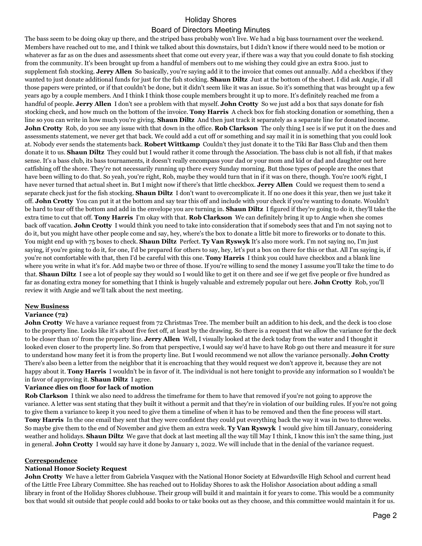## Holiday Shores Board of Directors Meeting Minutes

The bass seem to be doing okay up there, and the striped bass probably won't live. We had a big bass tournament over the weekend. Members have reached out to me, and I think we talked about this downstairs, but I didn't know if there would need to be motion or whatever as far as on the dues and assessments sheet that come out every year, if there was a way that you could donate to fish stocking from the community. It's been brought up from a handful of members out to me wishing they could give an extra \$100. just to supplement fish stocking. **Jerry Allen** So basically, you're saying add it to the invoice that comes out annually. Add a checkbox if they wanted to just donate additional funds for just for the fish stocking. **Shaun Diltz** Just at the bottom of the sheet. I did ask Angie, if all those papers were printed, or if that couldn't be done, but it didn't seem like it was an issue. So it's something that was brought up a few years ago by a couple members. And I think I think those couple members brought it up to more. It's definitely reached me from a handful of people. **Jerry Allen** I don't see a problem with that myself. **John Crotty** So we just add a box that says donate for fish stocking check, and how much on the bottom of the invoice. **Tony Harris** A check box for fish stocking donation or something, then a line so you can write in how much you're giving. **Shaun Diltz** And then just track it separately as a separate line for donated income. **John Crotty** Rob, do you see any issue with that down in the office. **Rob Clarkson** The only thing I see is if we put it on the dues and assessments statement, we never get that back. We could add a cut off or something and say mail it in is something that you could look at. Nobody ever sends the statements back. **Robert Wittkamp** Couldn't they just donate it to the Tiki Bar Bass Club and then them donate it to us. **Shaun Diltz** They could but I would rather it come through the Association. The bass club is not all fish, if that makes sense. It's a bass club, its bass tournaments, it doesn't really encompass your dad or your mom and kid or dad and daughter out here catfishing off the shore. They're not necessarily running up there every Sunday morning. But those types of people are the ones that have been willing to do that. So yeah, you're right, Rob, maybe they would turn that in if it was on there, though. You're 100% right, I have never turned that actual sheet in. But I might now if there's that little checkbox. **Jerry Allen** Could we request them to send a separate check just for the fish stocking. **Shaun Diltz** I don't want to overcomplicate it. If no one does it this year, then we just take it off. **John Crotty** You can put it at the bottom and say tear this off and include with your check if you're wanting to donate. Wouldn't be hard to tear off the bottom and add in the envelope you are turning in. **Shaun Diltz** I figured if they're going to do it, they'll take the extra time to cut that off. **Tony Harris** I'm okay with that. **Rob Clarkson** We can definitely bring it up to Angie when she comes back off vacation. **John Crotty** I would think you need to take into consideration that if somebody sees that and I'm not saying not to do it, but you might have other people come and say, hey, where's the box to donate a little bit more to fireworks or to donate to this. You might end up with 75 boxes to check. **Shaun Diltz** Perfect. **Ty Van Ryswyk** It's also more work. I'm not saying no, I'm just saying, if you're going to do it, for one, I'd be prepared for others to say, hey, let's put a box on there for this or that. All I'm saying is, if you're not comfortable with that, then I'd be careful with this one. **Tony Harris** I think you could have checkbox and a blank line where you write in what it's for. Add maybe two or three of those. If you're willing to send the money I assume you'll take the time to do that. **Shaun Diltz** I see a lot of people say they would so I would like to get it on there and see if we get five people or five hundred as far as donating extra money for something that I think is hugely valuable and extremely popular out here. **John Crotty** Rob, you'll review it with Angie and we'll talk about the next meeting.

## **New Business**

#### **Variance (72)**

**John Crotty** We have a variance request from 72 Christmas Tree. The member built an addition to his deck, and the deck is too close to the property line. Looks like it's about five feet off, at least by the drawing. So there is a request that we allow the variance for the deck to be closer than 10' from the property line. **Jerry Allen** Well, I visually looked at the deck today from the water and I thought it looked even closer to the property line. So from that perspective, I would say we'd have to have Rob go out there and measure it for sure to understand how many feet it is from the property line. But I would recommend we not allow the variance personally. **John Crotty**  There's also been a letter from the neighbor that it is encroaching that they would request we don't approve it, because they are not happy about it. **Tony Harris** I wouldn't be in favor of it. The individual is not here tonight to provide any information so I wouldn't be in favor of approving it. **Shaun Diltz** I agree.

#### **Variance dies on floor for lack of motion**

**Rob Clarkson** I think we also need to address the timeframe for them to have that removed if you're not going to approve the variance. A letter was sent stating that they built it without a permit and that they're in violation of our building rules. If you're not going to give them a variance to keep it you need to give them a timeline of when it has to be removed and then the fine process will start. **Tony Harris** In the one email they sent that they were confident they could put everything back the way it was in two to three weeks. So maybe give them to the end of November and give them an extra week. **Ty Van Ryswyk** I would give him till January, considering weather and holidays. **Shaun Diltz** We gave that dock at last meeting all the way till May I think, I know this isn't the same thing, just in general. **John Crotty** I would say have it done by January 1, 2022. We will include that in the denial of the variance request.

#### **Correspondence**

#### **National Honor Society Request**

**John Crotty** We have a letter from Gabriela Vasquez with the National Honor Society at Edwardsville High School and current head of the Little Free Library Committee. She has reached out to Holiday Shores to ask the Holishor Association about adding a small library in front of the Holiday Shores clubhouse. Their group will build it and maintain it for years to come. This would be a community box that would sit outside that people could add books to or take books out as they choose, and this committee would maintain it for us.